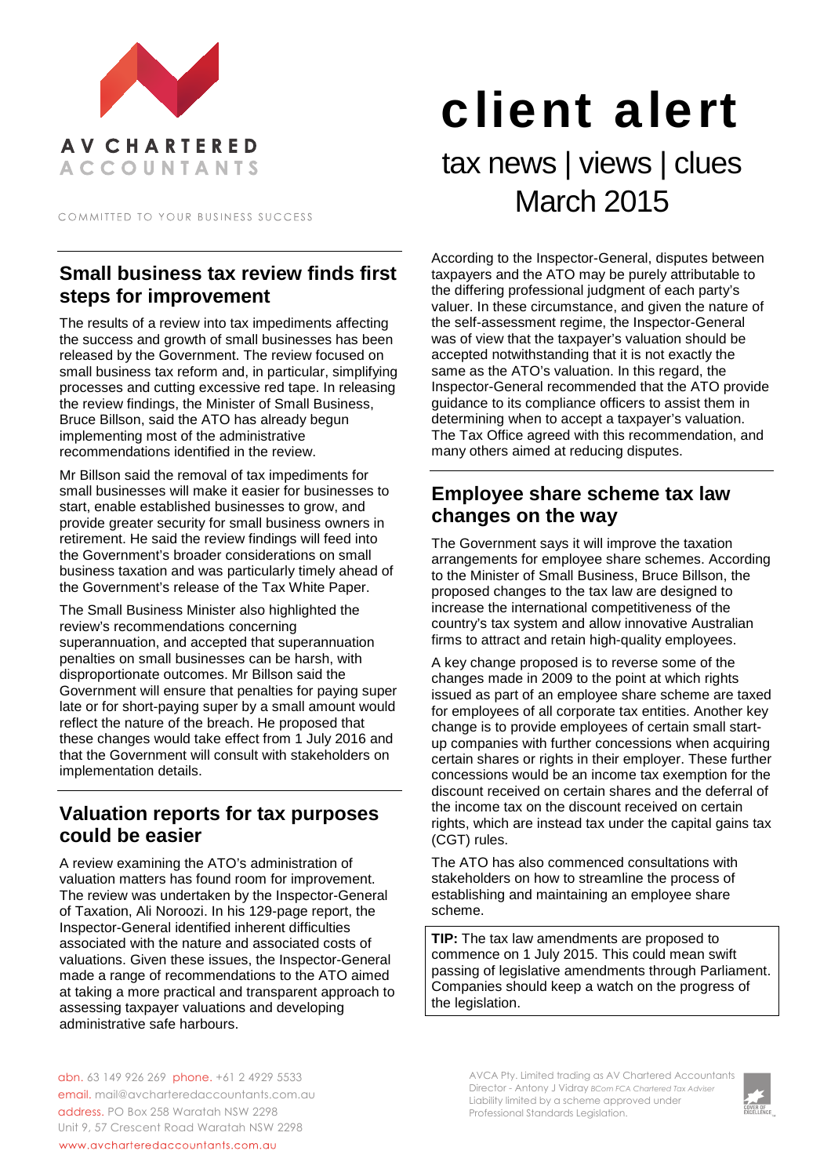

COMMITTED TO YOUR BUSINESS SUCCESS

# **Small business tax review finds first steps for improvement**

The results of a review into tax impediments affecting the success and growth of small businesses has been released by the Government. The review focused on small business tax reform and, in particular, simplifying processes and cutting excessive red tape. In releasing the review findings, the Minister of Small Business, Bruce Billson, said the ATO has already begun implementing most of the administrative recommendations identified in the review.

Mr Billson said the removal of tax impediments for small businesses will make it easier for businesses to start, enable established businesses to grow, and provide greater security for small business owners in retirement. He said the review findings will feed into the Government's broader considerations on small business taxation and was particularly timely ahead of the Government's release of the Tax White Paper.

The Small Business Minister also highlighted the review's recommendations concerning superannuation, and accepted that superannuation penalties on small businesses can be harsh, with disproportionate outcomes. Mr Billson said the Government will ensure that penalties for paying super late or for short-paying super by a small amount would reflect the nature of the breach. He proposed that these changes would take effect from 1 July 2016 and that the Government will consult with stakeholders on implementation details.

## **Valuation reports for tax purposes could be easier**

A review examining the ATO's administration of valuation matters has found room for improvement. The review was undertaken by the Inspector-General of Taxation, Ali Noroozi. In his 129-page report, the Inspector-General identified inherent difficulties associated with the nature and associated costs of valuations. Given these issues, the Inspector-General made a range of recommendations to the ATO aimed at taking a more practical and transparent approach to assessing taxpayer valuations and developing administrative safe harbours.

# client alert tax news | views | clues March 2015

According to the Inspector-General, disputes between taxpayers and the ATO may be purely attributable to the differing professional judgment of each party's valuer. In these circumstance, and given the nature of the self-assessment regime, the Inspector-General was of view that the taxpayer's valuation should be accepted notwithstanding that it is not exactly the same as the ATO's valuation. In this regard, the Inspector-General recommended that the ATO provide guidance to its compliance officers to assist them in determining when to accept a taxpayer's valuation. The Tax Office agreed with this recommendation, and many others aimed at reducing disputes.

## **Employee share scheme tax law changes on the way**

The Government says it will improve the taxation arrangements for employee share schemes. According to the Minister of Small Business, Bruce Billson, the proposed changes to the tax law are designed to increase the international competitiveness of the country's tax system and allow innovative Australian firms to attract and retain high-quality employees.

A key change proposed is to reverse some of the changes made in 2009 to the point at which rights issued as part of an employee share scheme are taxed for employees of all corporate tax entities. Another key change is to provide employees of certain small startup companies with further concessions when acquiring certain shares or rights in their employer. These further concessions would be an income tax exemption for the discount received on certain shares and the deferral of the income tax on the discount received on certain rights, which are instead tax under the capital gains tax (CGT) rules.

The ATO has also commenced consultations with stakeholders on how to streamline the process of establishing and maintaining an employee share scheme.

**TIP:** The tax law amendments are proposed to commence on 1 July 2015. This could mean swift passing of legislative amendments through Parliament. Companies should keep a watch on the progress of the legislation.

abn. 63 149 926 269 phone. +61 2 4929 5533 email. mail@avcharteredaccountants.com.au address. PO Box 258 Waratah NSW 2298 Unit 9, 57 Crescent Road Waratah NSW 2298 www.avcharteredaccountants.com.au

AVCA Pty. Limited trading as AV Chartered Accountants Director - Antony J Vidray *BCom FCA Chartered Tax Adviser* Liability limited by a scheme approved under Professional Standards Legislation.